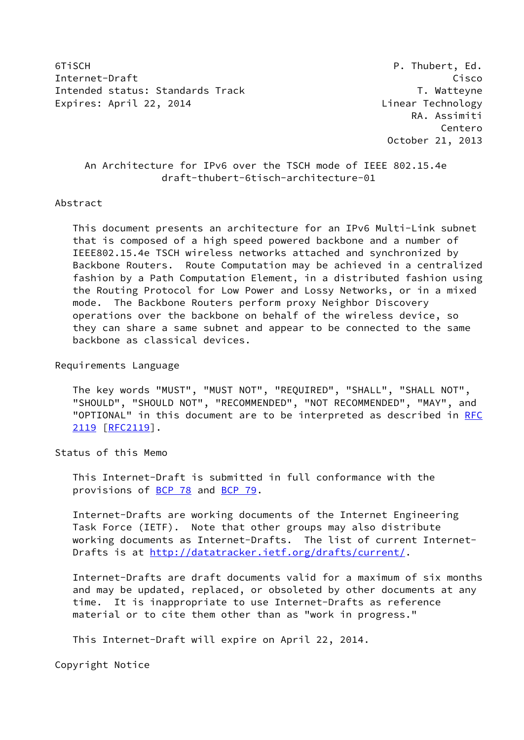6TiSCH P. Thubert, Ed. Internet-Draft Cisco Intended status: Standards Track T. Watteyne Expires: April 22, 2014 **Linear Technology** 

 RA. Assimiti Centero October 21, 2013

# An Architecture for IPv6 over the TSCH mode of IEEE 802.15.4e draft-thubert-6tisch-architecture-01

# Abstract

 This document presents an architecture for an IPv6 Multi-Link subnet that is composed of a high speed powered backbone and a number of IEEE802.15.4e TSCH wireless networks attached and synchronized by Backbone Routers. Route Computation may be achieved in a centralized fashion by a Path Computation Element, in a distributed fashion using the Routing Protocol for Low Power and Lossy Networks, or in a mixed mode. The Backbone Routers perform proxy Neighbor Discovery operations over the backbone on behalf of the wireless device, so they can share a same subnet and appear to be connected to the same backbone as classical devices.

Requirements Language

 The key words "MUST", "MUST NOT", "REQUIRED", "SHALL", "SHALL NOT", "SHOULD", "SHOULD NOT", "RECOMMENDED", "NOT RECOMMENDED", "MAY", and "OPTIONAL" in this document are to be interpreted as described in [RFC](https://datatracker.ietf.org/doc/pdf/rfc2119) [2119](https://datatracker.ietf.org/doc/pdf/rfc2119) [\[RFC2119](https://datatracker.ietf.org/doc/pdf/rfc2119)].

Status of this Memo

 This Internet-Draft is submitted in full conformance with the provisions of [BCP 78](https://datatracker.ietf.org/doc/pdf/bcp78) and [BCP 79](https://datatracker.ietf.org/doc/pdf/bcp79).

 Internet-Drafts are working documents of the Internet Engineering Task Force (IETF). Note that other groups may also distribute working documents as Internet-Drafts. The list of current Internet Drafts is at<http://datatracker.ietf.org/drafts/current/>.

 Internet-Drafts are draft documents valid for a maximum of six months and may be updated, replaced, or obsoleted by other documents at any time. It is inappropriate to use Internet-Drafts as reference material or to cite them other than as "work in progress."

This Internet-Draft will expire on April 22, 2014.

Copyright Notice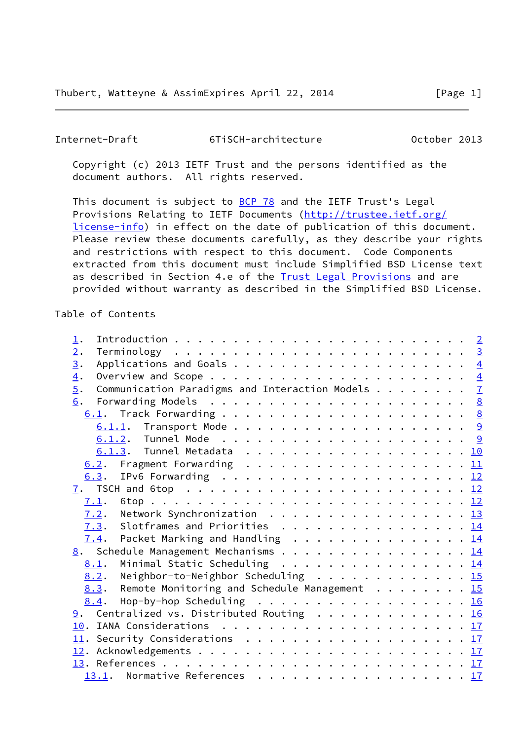<span id="page-1-0"></span> Copyright (c) 2013 IETF Trust and the persons identified as the document authors. All rights reserved.

This document is subject to **[BCP 78](https://datatracker.ietf.org/doc/pdf/bcp78)** and the IETF Trust's Legal Provisions Relating to IETF Documents ([http://trustee.ietf.org/](http://trustee.ietf.org/license-info) [license-info](http://trustee.ietf.org/license-info)) in effect on the date of publication of this document. Please review these documents carefully, as they describe your rights and restrictions with respect to this document. Code Components extracted from this document must include Simplified BSD License text as described in Section 4.e of the **[Trust Legal Provisions](https://trustee.ietf.org/license-info)** and are provided without warranty as described in the Simplified BSD License.

### Table of Contents

| $\perp$ .                                                            |  |  |
|----------------------------------------------------------------------|--|--|
| 2.                                                                   |  |  |
| $\underline{3}$ .                                                    |  |  |
| $\overline{4}$ .                                                     |  |  |
| $\overline{5}$ .<br>Communication Paradigms and Interaction Models 7 |  |  |
|                                                                      |  |  |
|                                                                      |  |  |
|                                                                      |  |  |
|                                                                      |  |  |
|                                                                      |  |  |
| 6.2. Fragment Forwarding 11                                          |  |  |
|                                                                      |  |  |
|                                                                      |  |  |
| 7.1.                                                                 |  |  |
| $7.2$ . Network Synchronization 13                                   |  |  |
| 7.3. Slotframes and Priorities 14                                    |  |  |
| $\frac{7.4}{1.4}$ . Packet Marking and Handling 14                   |  |  |
| 8. Schedule Management Mechanisms 14                                 |  |  |
| Minimal Static Scheduling 14<br>8.1.                                 |  |  |
| Neighbor-to-Neighbor Scheduling 15<br>8.2.                           |  |  |
| 8.3. Remote Monitoring and Schedule Management 15                    |  |  |
|                                                                      |  |  |
| 8.4. Hop-by-hop Scheduling 16                                        |  |  |
| $\underline{9}$ . Centralized vs. Distributed Routing 16             |  |  |
|                                                                      |  |  |
| 11. Security Considerations 17                                       |  |  |
|                                                                      |  |  |
|                                                                      |  |  |
| 13.1. Normative References 17                                        |  |  |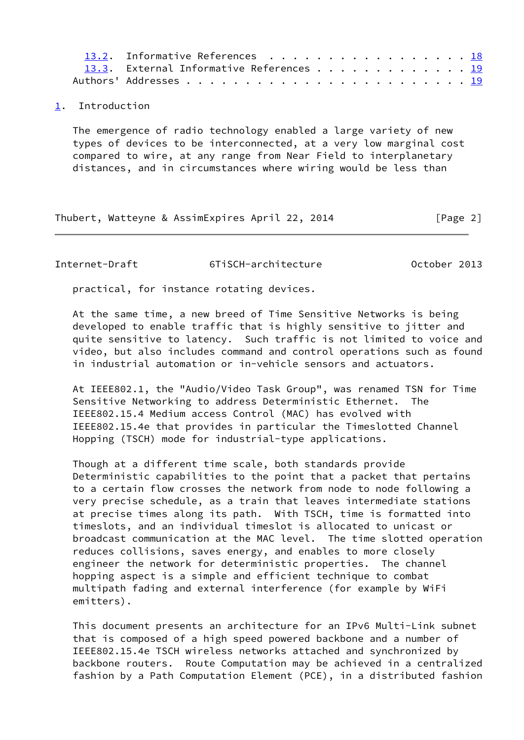| 13.2. Informative References 18          |
|------------------------------------------|
| 13.3. External Informative References 19 |
|                                          |

# <span id="page-2-0"></span>[1](#page-2-0). Introduction

 The emergence of radio technology enabled a large variety of new types of devices to be interconnected, at a very low marginal cost compared to wire, at any range from Near Field to interplanetary distances, and in circumstances where wiring would be less than

Thubert, Watteyne & AssimExpires April 22, 2014 [Page 2]

<span id="page-2-1"></span>Internet-Draft 6TiSCH-architecture October 2013

practical, for instance rotating devices.

 At the same time, a new breed of Time Sensitive Networks is being developed to enable traffic that is highly sensitive to jitter and quite sensitive to latency. Such traffic is not limited to voice and video, but also includes command and control operations such as found in industrial automation or in-vehicle sensors and actuators.

 At IEEE802.1, the "Audio/Video Task Group", was renamed TSN for Time Sensitive Networking to address Deterministic Ethernet. The IEEE802.15.4 Medium access Control (MAC) has evolved with IEEE802.15.4e that provides in particular the Timeslotted Channel Hopping (TSCH) mode for industrial-type applications.

 Though at a different time scale, both standards provide Deterministic capabilities to the point that a packet that pertains to a certain flow crosses the network from node to node following a very precise schedule, as a train that leaves intermediate stations at precise times along its path. With TSCH, time is formatted into timeslots, and an individual timeslot is allocated to unicast or broadcast communication at the MAC level. The time slotted operation reduces collisions, saves energy, and enables to more closely engineer the network for deterministic properties. The channel hopping aspect is a simple and efficient technique to combat multipath fading and external interference (for example by WiFi emitters).

 This document presents an architecture for an IPv6 Multi-Link subnet that is composed of a high speed powered backbone and a number of IEEE802.15.4e TSCH wireless networks attached and synchronized by backbone routers. Route Computation may be achieved in a centralized fashion by a Path Computation Element (PCE), in a distributed fashion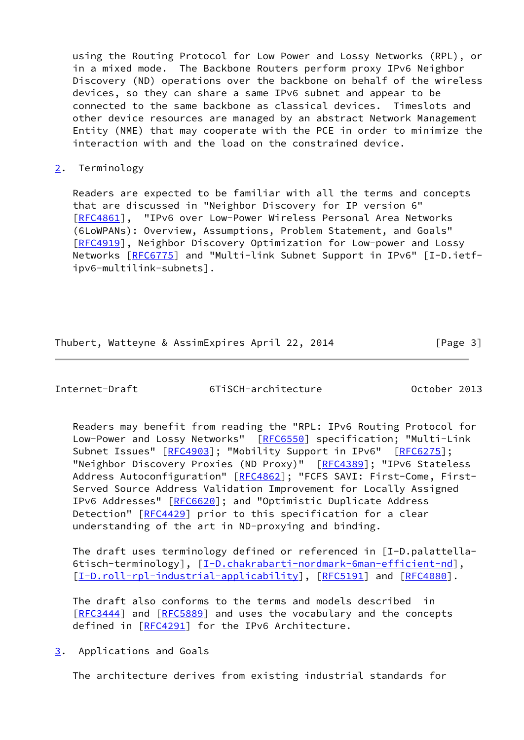using the Routing Protocol for Low Power and Lossy Networks (RPL), or in a mixed mode. The Backbone Routers perform proxy IPv6 Neighbor Discovery (ND) operations over the backbone on behalf of the wireless devices, so they can share a same IPv6 subnet and appear to be connected to the same backbone as classical devices. Timeslots and other device resources are managed by an abstract Network Management Entity (NME) that may cooperate with the PCE in order to minimize the interaction with and the load on the constrained device.

# <span id="page-3-0"></span>[2](#page-3-0). Terminology

 Readers are expected to be familiar with all the terms and concepts that are discussed in "Neighbor Discovery for IP version 6" [\[RFC4861](https://datatracker.ietf.org/doc/pdf/rfc4861)], "IPv6 over Low-Power Wireless Personal Area Networks (6LoWPANs): Overview, Assumptions, Problem Statement, and Goals" [\[RFC4919](https://datatracker.ietf.org/doc/pdf/rfc4919)], Neighbor Discovery Optimization for Low-power and Lossy Networks [\[RFC6775](https://datatracker.ietf.org/doc/pdf/rfc6775)] and "Multi-link Subnet Support in IPv6" [I-D.ietf ipv6-multilink-subnets].

# Thubert, Watteyne & AssimExpires April 22, 2014 [Page 3]

<span id="page-3-2"></span>Internet-Draft 6TiSCH-architecture October 2013

 Readers may benefit from reading the "RPL: IPv6 Routing Protocol for Low-Power and Lossy Networks" [\[RFC6550](https://datatracker.ietf.org/doc/pdf/rfc6550)] specification; "Multi-Link Subnet Issues" [\[RFC4903](https://datatracker.ietf.org/doc/pdf/rfc4903)]; "Mobility Support in IPv6" [[RFC6275](https://datatracker.ietf.org/doc/pdf/rfc6275)]; "Neighbor Discovery Proxies (ND Proxy)" [\[RFC4389](https://datatracker.ietf.org/doc/pdf/rfc4389)]; "IPv6 Stateless Address Autoconfiguration" [[RFC4862\]](https://datatracker.ietf.org/doc/pdf/rfc4862); "FCFS SAVI: First-Come, First- Served Source Address Validation Improvement for Locally Assigned IPv6 Addresses" [\[RFC6620](https://datatracker.ietf.org/doc/pdf/rfc6620)]; and "Optimistic Duplicate Address Detection" [[RFC4429\]](https://datatracker.ietf.org/doc/pdf/rfc4429) prior to this specification for a clear understanding of the art in ND-proxying and binding.

 The draft uses terminology defined or referenced in [I-D.palattella- 6tisch-terminology], [\[I-D.chakrabarti-nordmark-6man-efficient-nd\]](#page-20-2), [\[I-D.roll-rpl-industrial-applicability](#page-8-3)], [\[RFC5191](https://datatracker.ietf.org/doc/pdf/rfc5191)] and [\[RFC4080](https://datatracker.ietf.org/doc/pdf/rfc4080)].

 The draft also conforms to the terms and models described in [\[RFC3444](https://datatracker.ietf.org/doc/pdf/rfc3444)] and [[RFC5889](https://datatracker.ietf.org/doc/pdf/rfc5889)] and uses the vocabulary and the concepts defined in [[RFC4291\]](https://datatracker.ietf.org/doc/pdf/rfc4291) for the IPv6 Architecture.

<span id="page-3-1"></span>[3](#page-3-1). Applications and Goals

The architecture derives from existing industrial standards for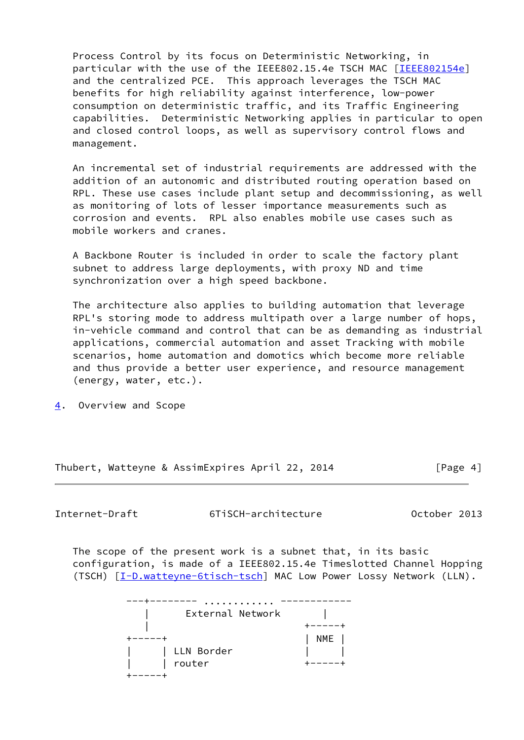Process Control by its focus on Deterministic Networking, in particular with the use of the IEEE802.15.4e TSCH MAC [[IEEE802154e](#page-22-1)] and the centralized PCE. This approach leverages the TSCH MAC benefits for high reliability against interference, low-power consumption on deterministic traffic, and its Traffic Engineering capabilities. Deterministic Networking applies in particular to open and closed control loops, as well as supervisory control flows and management.

 An incremental set of industrial requirements are addressed with the addition of an autonomic and distributed routing operation based on RPL. These use cases include plant setup and decommissioning, as well as monitoring of lots of lesser importance measurements such as corrosion and events. RPL also enables mobile use cases such as mobile workers and cranes.

 A Backbone Router is included in order to scale the factory plant subnet to address large deployments, with proxy ND and time synchronization over a high speed backbone.

 The architecture also applies to building automation that leverage RPL's storing mode to address multipath over a large number of hops, in-vehicle command and control that can be as demanding as industrial applications, commercial automation and asset Tracking with mobile scenarios, home automation and domotics which become more reliable and thus provide a better user experience, and resource management (energy, water, etc.).

<span id="page-4-0"></span>[4](#page-4-0). Overview and Scope

Thubert, Watteyne & AssimExpires April 22, 2014 [Page 4]

Internet-Draft 6TiSCH-architecture October 2013

 The scope of the present work is a subnet that, in its basic configuration, is made of a IEEE802.15.4e Timeslotted Channel Hopping (TSCH)  $[I-Dwatteyne-6tisch-tsch] MAC Low Power Lossy Network (LLN).$ 

| .                |     |
|------------------|-----|
| External Network |     |
|                  |     |
|                  | NME |
| LLN Border       |     |
| router           |     |
|                  |     |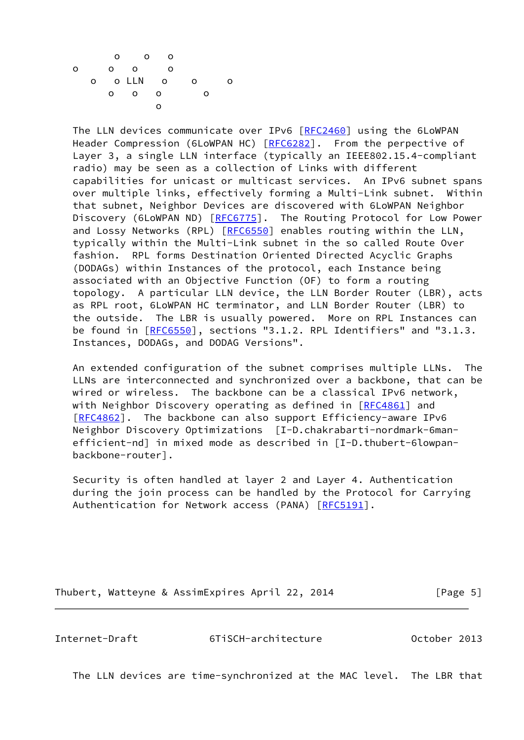

 The LLN devices communicate over IPv6 [[RFC2460](https://datatracker.ietf.org/doc/pdf/rfc2460)] using the 6LoWPAN Header Compression (6LoWPAN HC) [\[RFC6282](https://datatracker.ietf.org/doc/pdf/rfc6282)]. From the perpective of Layer 3, a single LLN interface (typically an IEEE802.15.4-compliant radio) may be seen as a collection of Links with different capabilities for unicast or multicast services. An IPv6 subnet spans over multiple links, effectively forming a Multi-Link subnet. Within that subnet, Neighbor Devices are discovered with 6LoWPAN Neighbor Discovery (6LoWPAN ND) [\[RFC6775](https://datatracker.ietf.org/doc/pdf/rfc6775)]. The Routing Protocol for Low Power and Lossy Networks (RPL) [\[RFC6550](https://datatracker.ietf.org/doc/pdf/rfc6550)] enables routing within the LLN, typically within the Multi-Link subnet in the so called Route Over fashion. RPL forms Destination Oriented Directed Acyclic Graphs (DODAGs) within Instances of the protocol, each Instance being associated with an Objective Function (OF) to form a routing topology. A particular LLN device, the LLN Border Router (LBR), acts as RPL root, 6LoWPAN HC terminator, and LLN Border Router (LBR) to the outside. The LBR is usually powered. More on RPL Instances can be found in  $[REC6550]$ , sections "3.1.2. RPL Identifiers" and "3.1.3. Instances, DODAGs, and DODAG Versions".

 An extended configuration of the subnet comprises multiple LLNs. The LLNs are interconnected and synchronized over a backbone, that can be wired or wireless. The backbone can be a classical IPv6 network, with Neighbor Discovery operating as defined in [\[RFC4861](https://datatracker.ietf.org/doc/pdf/rfc4861)] and [\[RFC4862](https://datatracker.ietf.org/doc/pdf/rfc4862)]. The backbone can also support Efficiency-aware IPv6 Neighbor Discovery Optimizations [I-D.chakrabarti-nordmark-6man efficient-nd] in mixed mode as described in [I-D.thubert-6lowpan backbone-router].

 Security is often handled at layer 2 and Layer 4. Authentication during the join process can be handled by the Protocol for Carrying Authentication for Network access (PANA) [\[RFC5191](https://datatracker.ietf.org/doc/pdf/rfc5191)].

Thubert, Watteyne & AssimExpires April 22, 2014 [Page 5]

Internet-Draft 6TiSCH-architecture October 2013

The LLN devices are time-synchronized at the MAC level. The LBR that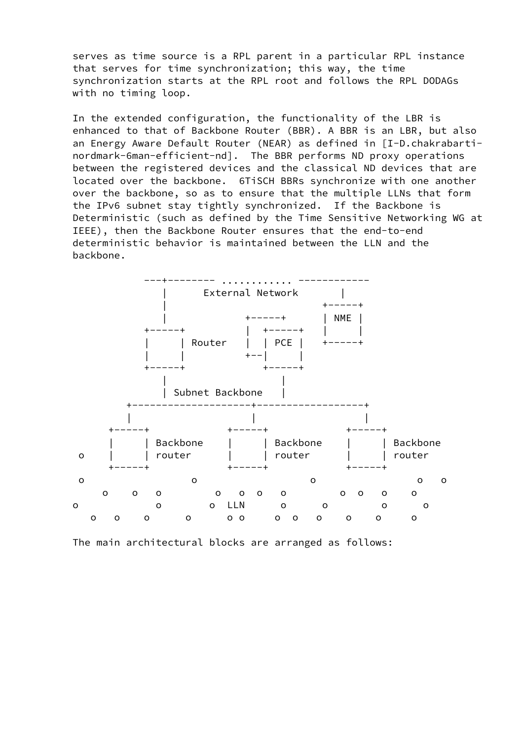serves as time source is a RPL parent in a particular RPL instance that serves for time synchronization; this way, the time synchronization starts at the RPL root and follows the RPL DODAGs with no timing loop.

 In the extended configuration, the functionality of the LBR is enhanced to that of Backbone Router (BBR). A BBR is an LBR, but also an Energy Aware Default Router (NEAR) as defined in [I-D.chakrabarti nordmark-6man-efficient-nd]. The BBR performs ND proxy operations between the registered devices and the classical ND devices that are located over the backbone. 6TiSCH BBRs synchronize with one another over the backbone, so as to ensure that the multiple LLNs that form the IPv6 subnet stay tightly synchronized. If the Backbone is Deterministic (such as defined by the Time Sensitive Networking WG at IEEE), then the Backbone Router ensures that the end-to-end deterministic behavior is maintained between the LLN and the backbone.



The main architectural blocks are arranged as follows: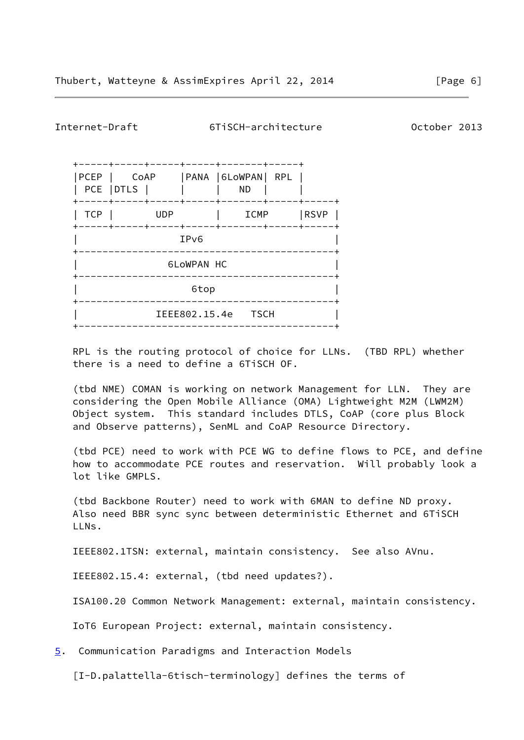<span id="page-7-1"></span>Internet-Draft 6TiSCH-architecture October 2013

| PCEP               | CoAP<br>PCE   DTLS           |            |  | PANA   6LOWPAN   RPL<br>ND. |  |      |
|--------------------|------------------------------|------------|--|-----------------------------|--|------|
| ----<br><b>TCP</b> | ----+                        | <b>UDP</b> |  | ICMP                        |  | RSVP |
|                    | ----+<br>IP <sub>v6</sub>    |            |  |                             |  |      |
|                    | <b>6LoWPAN HC</b>            |            |  |                             |  |      |
|                    | 6top                         |            |  |                             |  |      |
|                    | IEEE802.15.4e<br><b>TSCH</b> |            |  |                             |  |      |
|                    |                              |            |  |                             |  |      |

 RPL is the routing protocol of choice for LLNs. (TBD RPL) whether there is a need to define a 6TiSCH OF.

 (tbd NME) COMAN is working on network Management for LLN. They are considering the Open Mobile Alliance (OMA) Lightweight M2M (LWM2M) Object system. This standard includes DTLS, CoAP (core plus Block and Observe patterns), SenML and CoAP Resource Directory.

 (tbd PCE) need to work with PCE WG to define flows to PCE, and define how to accommodate PCE routes and reservation. Will probably look a lot like GMPLS.

 (tbd Backbone Router) need to work with 6MAN to define ND proxy. Also need BBR sync sync between deterministic Ethernet and 6TiSCH LLNs.

IEEE802.1TSN: external, maintain consistency. See also AVnu.

IEEE802.15.4: external, (tbd need updates?).

ISA100.20 Common Network Management: external, maintain consistency.

IoT6 European Project: external, maintain consistency.

<span id="page-7-0"></span>[5](#page-7-0). Communication Paradigms and Interaction Models

[I-D.palattella-6tisch-terminology] defines the terms of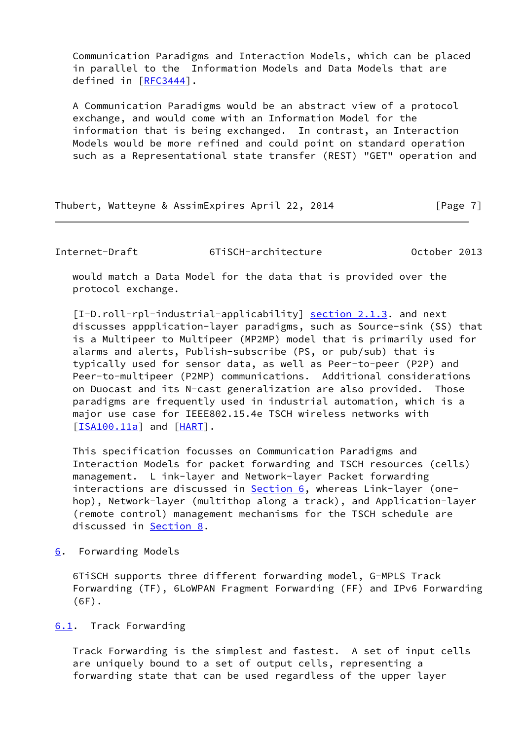Communication Paradigms and Interaction Models, which can be placed in parallel to the Information Models and Data Models that are defined in [[RFC3444\]](https://datatracker.ietf.org/doc/pdf/rfc3444).

 A Communication Paradigms would be an abstract view of a protocol exchange, and would come with an Information Model for the information that is being exchanged. In contrast, an Interaction Models would be more refined and could point on standard operation such as a Representational state transfer (REST) "GET" operation and

Thubert, Watteyne & AssimExpires April 22, 2014 [Page 7]

<span id="page-8-1"></span>Internet-Draft 6TiSCH-architecture October 2013

 would match a Data Model for the data that is provided over the protocol exchange.

<span id="page-8-3"></span>[I-D.roll-rpl-industrial-applicability] section 2.1.3. and next discusses appplication-layer paradigms, such as Source-sink (SS) that is a Multipeer to Multipeer (MP2MP) model that is primarily used for alarms and alerts, Publish-subscribe (PS, or pub/sub) that is typically used for sensor data, as well as Peer-to-peer (P2P) and Peer-to-multipeer (P2MP) communications. Additional considerations on Duocast and its N-cast generalization are also provided. Those paradigms are frequently used in industrial automation, which is a major use case for IEEE802.15.4e TSCH wireless networks with  $[**ISA100.11a**]$  and  $[**HART**]$ .

 This specification focusses on Communication Paradigms and Interaction Models for packet forwarding and TSCH resources (cells) management. L ink-layer and Network-layer Packet forwarding interactions are discussed in  $Section 6$ , whereas Link-layer (one hop), Network-layer (multithop along a track), and Application-layer (remote control) management mechanisms for the TSCH schedule are discussed in [Section 8](#page-16-1).

<span id="page-8-0"></span>[6](#page-8-0). Forwarding Models

 6TiSCH supports three different forwarding model, G-MPLS Track Forwarding (TF), 6LoWPAN Fragment Forwarding (FF) and IPv6 Forwarding (6F).

<span id="page-8-2"></span>[6.1](#page-8-2). Track Forwarding

 Track Forwarding is the simplest and fastest. A set of input cells are uniquely bound to a set of output cells, representing a forwarding state that can be used regardless of the upper layer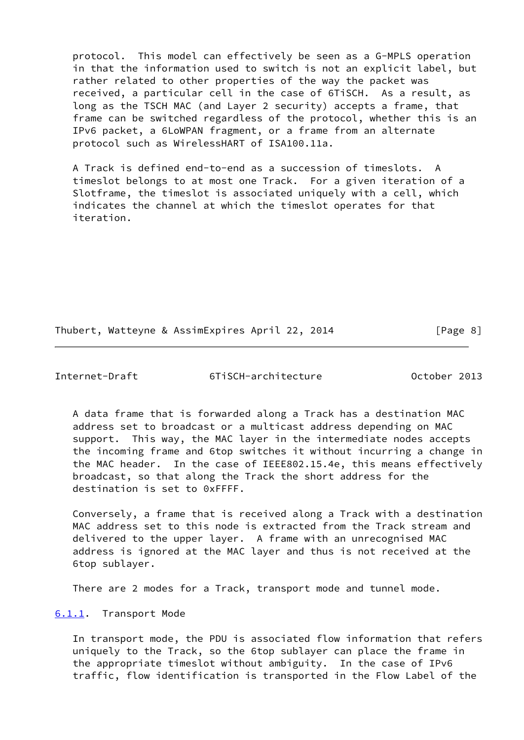protocol. This model can effectively be seen as a G-MPLS operation in that the information used to switch is not an explicit label, but rather related to other properties of the way the packet was received, a particular cell in the case of 6TiSCH. As a result, as long as the TSCH MAC (and Layer 2 security) accepts a frame, that frame can be switched regardless of the protocol, whether this is an IPv6 packet, a 6LoWPAN fragment, or a frame from an alternate protocol such as WirelessHART of ISA100.11a.

 A Track is defined end-to-end as a succession of timeslots. A timeslot belongs to at most one Track. For a given iteration of a Slotframe, the timeslot is associated uniquely with a cell, which indicates the channel at which the timeslot operates for that iteration.

Thubert, Watteyne & AssimExpires April 22, 2014 [Page 8]

<span id="page-9-1"></span>Internet-Draft 6TiSCH-architecture October 2013

 A data frame that is forwarded along a Track has a destination MAC address set to broadcast or a multicast address depending on MAC support. This way, the MAC layer in the intermediate nodes accepts the incoming frame and 6top switches it without incurring a change in the MAC header. In the case of IEEE802.15.4e, this means effectively broadcast, so that along the Track the short address for the destination is set to 0xFFFF.

 Conversely, a frame that is received along a Track with a destination MAC address set to this node is extracted from the Track stream and delivered to the upper layer. A frame with an unrecognised MAC address is ignored at the MAC layer and thus is not received at the 6top sublayer.

There are 2 modes for a Track, transport mode and tunnel mode.

<span id="page-9-0"></span>[6.1.1](#page-9-0). Transport Mode

 In transport mode, the PDU is associated flow information that refers uniquely to the Track, so the 6top sublayer can place the frame in the appropriate timeslot without ambiguity. In the case of IPv6 traffic, flow identification is transported in the Flow Label of the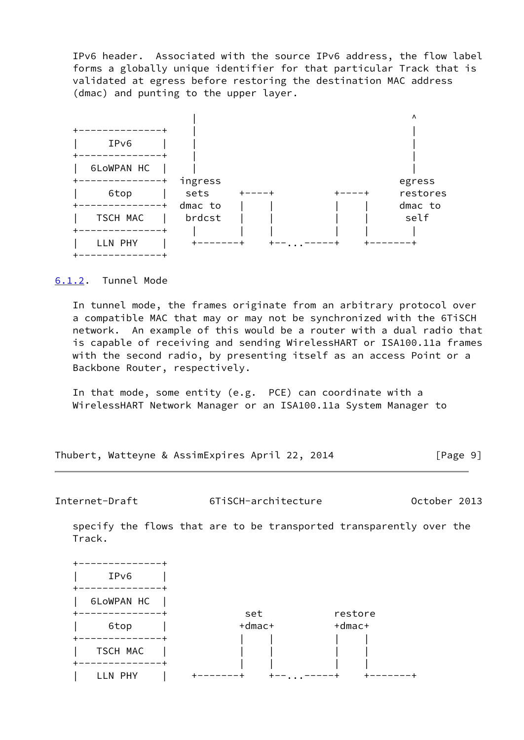IPv6 header. Associated with the source IPv6 address, the flow label forms a globally unique identifier for that particular Track that is validated at egress before restoring the destination MAC address (dmac) and punting to the upper layer.



# <span id="page-10-0"></span>[6.1.2](#page-10-0). Tunnel Mode

 In tunnel mode, the frames originate from an arbitrary protocol over a compatible MAC that may or may not be synchronized with the 6TiSCH network. An example of this would be a router with a dual radio that is capable of receiving and sending WirelessHART or ISA100.11a frames with the second radio, by presenting itself as an access Point or a Backbone Router, respectively.

 In that mode, some entity (e.g. PCE) can coordinate with a WirelessHART Network Manager or an ISA100.11a System Manager to

Thubert, Watteyne & AssimExpires April 22, 2014 [Page 9]

<span id="page-10-1"></span>Internet-Draft 6TiSCH-architecture October 2013

 specify the flows that are to be transported transparently over the Track.

| IPv6       |                     |                         |
|------------|---------------------|-------------------------|
| 6LoWPAN HC |                     |                         |
| 6top       | set<br>$+$ dmac $+$ | restore<br>$+$ dmac $+$ |
| TSCH MAC   |                     |                         |
|            |                     | $\ddot{\phantom{a}}$    |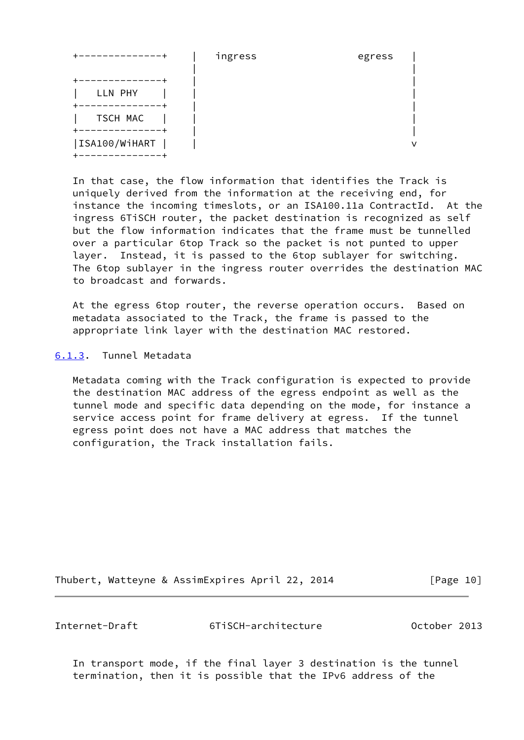|               | ingress | egress |
|---------------|---------|--------|
| LLN PHY       |         |        |
| TSCH MAC      |         |        |
| ISA100/WiHART |         |        |

 In that case, the flow information that identifies the Track is uniquely derived from the information at the receiving end, for instance the incoming timeslots, or an ISA100.11a ContractId. At the ingress 6TiSCH router, the packet destination is recognized as self but the flow information indicates that the frame must be tunnelled over a particular 6top Track so the packet is not punted to upper layer. Instead, it is passed to the 6top sublayer for switching. The 6top sublayer in the ingress router overrides the destination MAC to broadcast and forwards.

 At the egress 6top router, the reverse operation occurs. Based on metadata associated to the Track, the frame is passed to the appropriate link layer with the destination MAC restored.

<span id="page-11-0"></span>[6.1.3](#page-11-0). Tunnel Metadata

 Metadata coming with the Track configuration is expected to provide the destination MAC address of the egress endpoint as well as the tunnel mode and specific data depending on the mode, for instance a service access point for frame delivery at egress. If the tunnel egress point does not have a MAC address that matches the configuration, the Track installation fails.

Thubert, Watteyne & AssimExpires April 22, 2014 [Page 10]

<span id="page-11-1"></span>

Internet-Draft 6TiSCH-architecture October 2013

 In transport mode, if the final layer 3 destination is the tunnel termination, then it is possible that the IPv6 address of the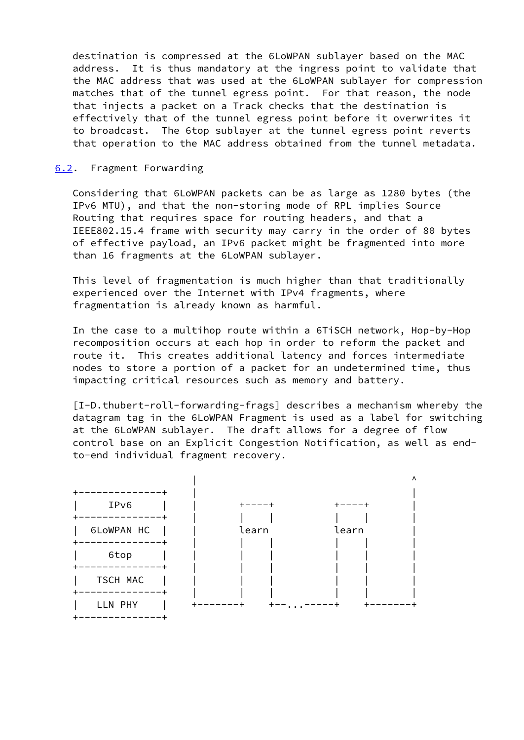destination is compressed at the 6LoWPAN sublayer based on the MAC address. It is thus mandatory at the ingress point to validate that the MAC address that was used at the 6LoWPAN sublayer for compression matches that of the tunnel egress point. For that reason, the node that injects a packet on a Track checks that the destination is effectively that of the tunnel egress point before it overwrites it to broadcast. The 6top sublayer at the tunnel egress point reverts that operation to the MAC address obtained from the tunnel metadata.

# <span id="page-12-0"></span>[6.2](#page-12-0). Fragment Forwarding

 Considering that 6LoWPAN packets can be as large as 1280 bytes (the IPv6 MTU), and that the non-storing mode of RPL implies Source Routing that requires space for routing headers, and that a IEEE802.15.4 frame with security may carry in the order of 80 bytes of effective payload, an IPv6 packet might be fragmented into more than 16 fragments at the 6LoWPAN sublayer.

 This level of fragmentation is much higher than that traditionally experienced over the Internet with IPv4 fragments, where fragmentation is already known as harmful.

 In the case to a multihop route within a 6TiSCH network, Hop-by-Hop recomposition occurs at each hop in order to reform the packet and route it. This creates additional latency and forces intermediate nodes to store a portion of a packet for an undetermined time, thus impacting critical resources such as memory and battery.

 [I-D.thubert-roll-forwarding-frags] describes a mechanism whereby the datagram tag in the 6LoWPAN Fragment is used as a label for switching at the 6LoWPAN sublayer. The draft allows for a degree of flow control base on an Explicit Congestion Notification, as well as end to-end individual fragment recovery.

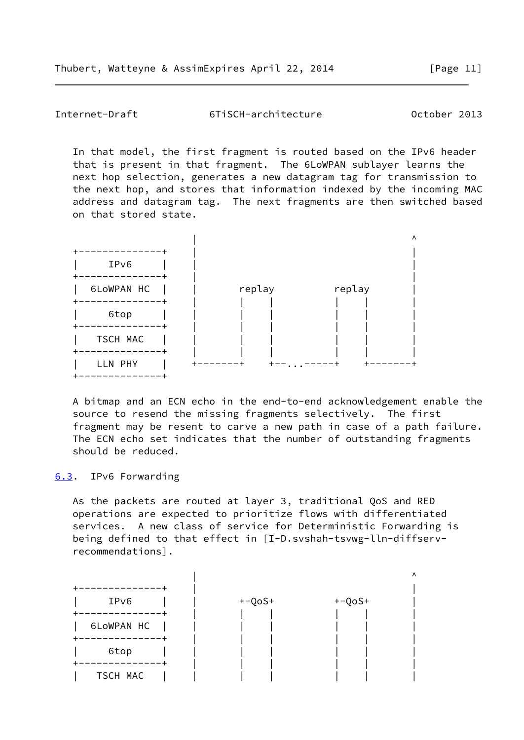<span id="page-13-1"></span>Internet-Draft 6TiSCH-architecture October 2013

 In that model, the first fragment is routed based on the IPv6 header that is present in that fragment. The 6LoWPAN sublayer learns the next hop selection, generates a new datagram tag for transmission to the next hop, and stores that information indexed by the incoming MAC address and datagram tag. The next fragments are then switched based on that stored state.



 A bitmap and an ECN echo in the end-to-end acknowledgement enable the source to resend the missing fragments selectively. The first fragment may be resent to carve a new path in case of a path failure. The ECN echo set indicates that the number of outstanding fragments should be reduced.

### <span id="page-13-0"></span>[6.3](#page-13-0). IPv6 Forwarding

 As the packets are routed at layer 3, traditional QoS and RED operations are expected to prioritize flows with differentiated services. A new class of service for Deterministic Forwarding is being defined to that effect in [I-D.svshah-tsvwg-lln-diffserv recommendations].

|            |          |          | Λ |
|------------|----------|----------|---|
|            |          |          |   |
| IPv6       | $+-QoS+$ | $+-QoS+$ |   |
| --------   |          |          |   |
| 6LoWPAN HC |          |          |   |
| ----       |          |          |   |
| 6top       |          |          |   |
|            |          |          |   |
| TSCH MAC   |          |          |   |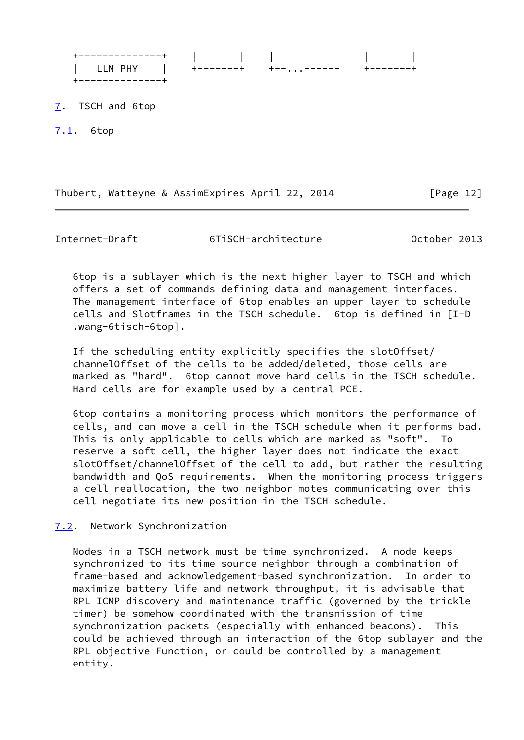| -------------+                           <br>LLN PHY   +-------+ +-------+ |  |  |
|----------------------------------------------------------------------------|--|--|
| 7. TSCH and 6top                                                           |  |  |

<span id="page-14-1"></span><span id="page-14-0"></span>[7.1](#page-14-1). 6top

Thubert, Watteyne & AssimExpires April 22, 2014 [Page 12]

<span id="page-14-3"></span>

Internet-Draft 6TiSCH-architecture October 2013

 6top is a sublayer which is the next higher layer to TSCH and which offers a set of commands defining data and management interfaces. The management interface of 6top enables an upper layer to schedule cells and Slotframes in the TSCH schedule. 6top is defined in [I-D .wang-6tisch-6top].

 If the scheduling entity explicitly specifies the slotOffset/ channelOffset of the cells to be added/deleted, those cells are marked as "hard". 6top cannot move hard cells in the TSCH schedule. Hard cells are for example used by a central PCE.

 6top contains a monitoring process which monitors the performance of cells, and can move a cell in the TSCH schedule when it performs bad. This is only applicable to cells which are marked as "soft". To reserve a soft cell, the higher layer does not indicate the exact slotOffset/channelOffset of the cell to add, but rather the resulting bandwidth and QoS requirements. When the monitoring process triggers a cell reallocation, the two neighbor motes communicating over this cell negotiate its new position in the TSCH schedule.

<span id="page-14-2"></span>[7.2](#page-14-2). Network Synchronization

 Nodes in a TSCH network must be time synchronized. A node keeps synchronized to its time source neighbor through a combination of frame-based and acknowledgement-based synchronization. In order to maximize battery life and network throughput, it is advisable that RPL ICMP discovery and maintenance traffic (governed by the trickle timer) be somehow coordinated with the transmission of time synchronization packets (especially with enhanced beacons). This could be achieved through an interaction of the 6top sublayer and the RPL objective Function, or could be controlled by a management entity.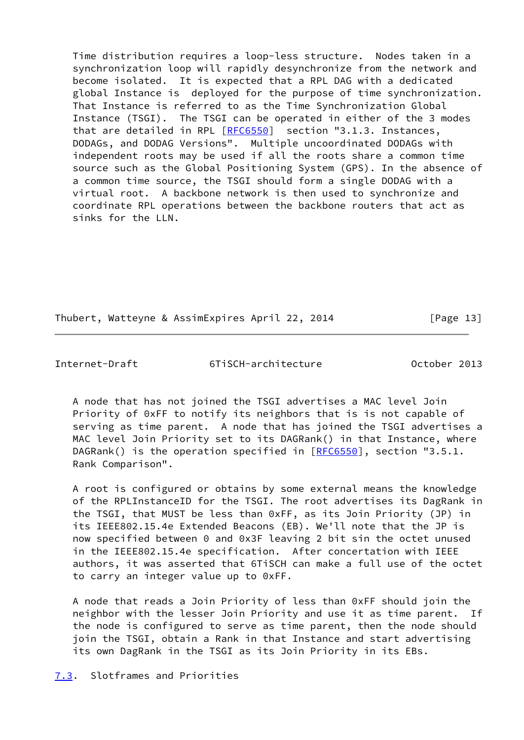Time distribution requires a loop-less structure. Nodes taken in a synchronization loop will rapidly desynchronize from the network and become isolated. It is expected that a RPL DAG with a dedicated global Instance is deployed for the purpose of time synchronization. That Instance is referred to as the Time Synchronization Global Instance (TSGI). The TSGI can be operated in either of the 3 modes that are detailed in RPL [\[RFC6550](https://datatracker.ietf.org/doc/pdf/rfc6550)] section "3.1.3. Instances, DODAGs, and DODAG Versions". Multiple uncoordinated DODAGs with independent roots may be used if all the roots share a common time source such as the Global Positioning System (GPS). In the absence of a common time source, the TSGI should form a single DODAG with a virtual root. A backbone network is then used to synchronize and coordinate RPL operations between the backbone routers that act as sinks for the LLN.

Thubert, Watteyne & AssimExpires April 22, 2014 [Page 13]

<span id="page-15-1"></span>

Internet-Draft 6TiSCH-architecture October 2013

 A node that has not joined the TSGI advertises a MAC level Join Priority of 0xFF to notify its neighbors that is is not capable of serving as time parent. A node that has joined the TSGI advertises a MAC level Join Priority set to its DAGRank() in that Instance, where DAGRank() is the operation specified in  $[REC6550]$ , section "3.5.1. Rank Comparison".

 A root is configured or obtains by some external means the knowledge of the RPLInstanceID for the TSGI. The root advertises its DagRank in the TSGI, that MUST be less than 0xFF, as its Join Priority (JP) in its IEEE802.15.4e Extended Beacons (EB). We'll note that the JP is now specified between 0 and 0x3F leaving 2 bit sin the octet unused in the IEEE802.15.4e specification. After concertation with IEEE authors, it was asserted that 6TiSCH can make a full use of the octet to carry an integer value up to 0xFF.

 A node that reads a Join Priority of less than 0xFF should join the neighbor with the lesser Join Priority and use it as time parent. If the node is configured to serve as time parent, then the node should join the TSGI, obtain a Rank in that Instance and start advertising its own DagRank in the TSGI as its Join Priority in its EBs.

<span id="page-15-0"></span>[7.3](#page-15-0). Slotframes and Priorities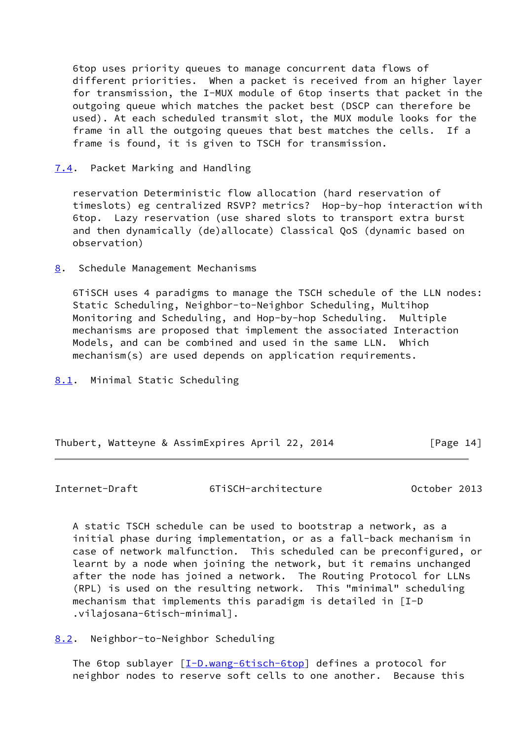6top uses priority queues to manage concurrent data flows of different priorities. When a packet is received from an higher layer for transmission, the I-MUX module of 6top inserts that packet in the outgoing queue which matches the packet best (DSCP can therefore be used). At each scheduled transmit slot, the MUX module looks for the frame in all the outgoing queues that best matches the cells. If a frame is found, it is given to TSCH for transmission.

# <span id="page-16-0"></span>[7.4](#page-16-0). Packet Marking and Handling

 reservation Deterministic flow allocation (hard reservation of timeslots) eg centralized RSVP? metrics? Hop-by-hop interaction with 6top. Lazy reservation (use shared slots to transport extra burst and then dynamically (de)allocate) Classical QoS (dynamic based on observation)

<span id="page-16-1"></span>[8](#page-16-1). Schedule Management Mechanisms

 6TiSCH uses 4 paradigms to manage the TSCH schedule of the LLN nodes: Static Scheduling, Neighbor-to-Neighbor Scheduling, Multihop Monitoring and Scheduling, and Hop-by-hop Scheduling. Multiple mechanisms are proposed that implement the associated Interaction Models, and can be combined and used in the same LLN. Which mechanism(s) are used depends on application requirements.

<span id="page-16-2"></span>[8.1](#page-16-2). Minimal Static Scheduling

Thubert, Watteyne & AssimExpires April 22, 2014 [Page 14]

<span id="page-16-4"></span>Internet-Draft 6TiSCH-architecture October 2013

 A static TSCH schedule can be used to bootstrap a network, as a initial phase during implementation, or as a fall-back mechanism in case of network malfunction. This scheduled can be preconfigured, or learnt by a node when joining the network, but it remains unchanged after the node has joined a network. The Routing Protocol for LLNs (RPL) is used on the resulting network. This "minimal" scheduling mechanism that implements this paradigm is detailed in [I-D .vilajosana-6tisch-minimal].

<span id="page-16-3"></span>[8.2](#page-16-3). Neighbor-to-Neighbor Scheduling

The 6top sublayer  $[I-D.wang-6tisch-6top]$  $[I-D.wang-6tisch-6top]$  defines a protocol for neighbor nodes to reserve soft cells to one another. Because this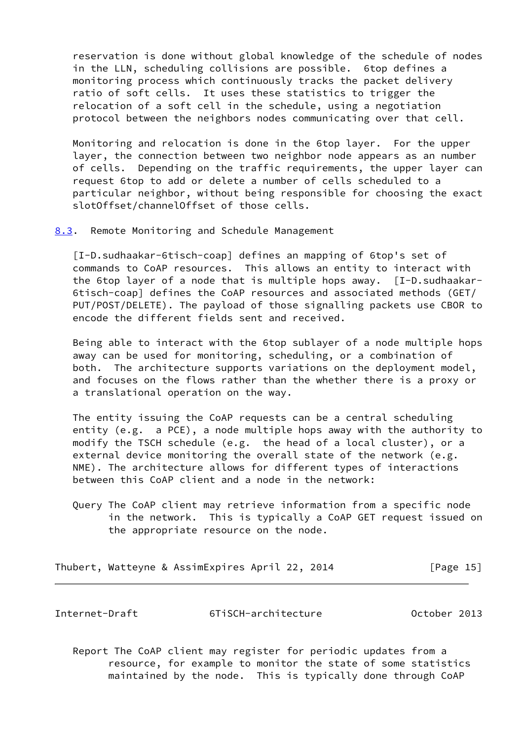reservation is done without global knowledge of the schedule of nodes in the LLN, scheduling collisions are possible. 6top defines a monitoring process which continuously tracks the packet delivery ratio of soft cells. It uses these statistics to trigger the relocation of a soft cell in the schedule, using a negotiation protocol between the neighbors nodes communicating over that cell.

 Monitoring and relocation is done in the 6top layer. For the upper layer, the connection between two neighbor node appears as an number of cells. Depending on the traffic requirements, the upper layer can request 6top to add or delete a number of cells scheduled to a particular neighbor, without being responsible for choosing the exact slotOffset/channelOffset of those cells.

<span id="page-17-0"></span>[8.3](#page-17-0). Remote Monitoring and Schedule Management

 [I-D.sudhaakar-6tisch-coap] defines an mapping of 6top's set of commands to CoAP resources. This allows an entity to interact with the 6top layer of a node that is multiple hops away. [I-D.sudhaakar- 6tisch-coap] defines the CoAP resources and associated methods (GET/ PUT/POST/DELETE). The payload of those signalling packets use CBOR to encode the different fields sent and received.

 Being able to interact with the 6top sublayer of a node multiple hops away can be used for monitoring, scheduling, or a combination of both. The architecture supports variations on the deployment model, and focuses on the flows rather than the whether there is a proxy or a translational operation on the way.

 The entity issuing the CoAP requests can be a central scheduling entity (e.g. a PCE), a node multiple hops away with the authority to modify the TSCH schedule (e.g. the head of a local cluster), or a external device monitoring the overall state of the network (e.g. NME). The architecture allows for different types of interactions between this CoAP client and a node in the network:

 Query The CoAP client may retrieve information from a specific node in the network. This is typically a CoAP GET request issued on the appropriate resource on the node.

Thubert, Watteyne & AssimExpires April 22, 2014 [Page 15]

<span id="page-17-1"></span>Internet-Draft 6TiSCH-architecture October 2013

 Report The CoAP client may register for periodic updates from a resource, for example to monitor the state of some statistics maintained by the node. This is typically done through CoAP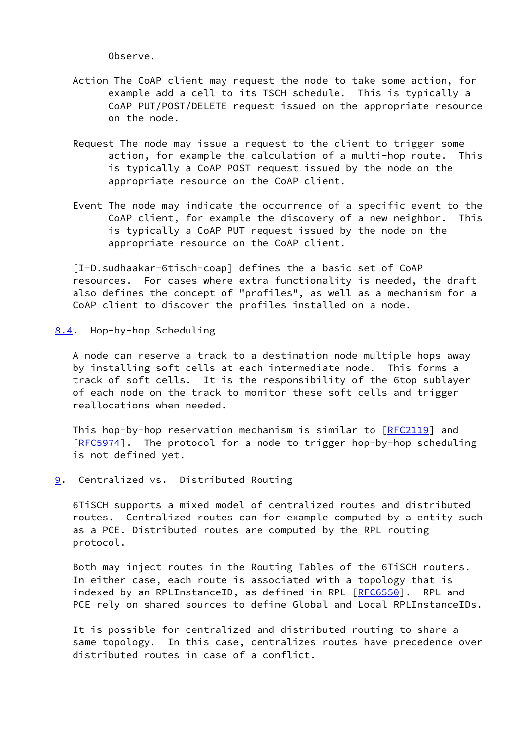Observe.

- Action The CoAP client may request the node to take some action, for example add a cell to its TSCH schedule. This is typically a CoAP PUT/POST/DELETE request issued on the appropriate resource on the node.
- Request The node may issue a request to the client to trigger some action, for example the calculation of a multi-hop route. This is typically a CoAP POST request issued by the node on the appropriate resource on the CoAP client.
- Event The node may indicate the occurrence of a specific event to the CoAP client, for example the discovery of a new neighbor. This is typically a CoAP PUT request issued by the node on the appropriate resource on the CoAP client.

 [I-D.sudhaakar-6tisch-coap] defines the a basic set of CoAP resources. For cases where extra functionality is needed, the draft also defines the concept of "profiles", as well as a mechanism for a CoAP client to discover the profiles installed on a node.

<span id="page-18-0"></span>[8.4](#page-18-0). Hop-by-hop Scheduling

 A node can reserve a track to a destination node multiple hops away by installing soft cells at each intermediate node. This forms a track of soft cells. It is the responsibility of the 6top sublayer of each node on the track to monitor these soft cells and trigger reallocations when needed.

This hop-by-hop reservation mechanism is similar to [\[RFC2119](https://datatracker.ietf.org/doc/pdf/rfc2119)] and [\[RFC5974](https://datatracker.ietf.org/doc/pdf/rfc5974)]. The protocol for a node to trigger hop-by-hop scheduling is not defined yet.

<span id="page-18-1"></span>[9](#page-18-1). Centralized vs. Distributed Routing

 6TiSCH supports a mixed model of centralized routes and distributed routes. Centralized routes can for example computed by a entity such as a PCE. Distributed routes are computed by the RPL routing protocol.

 Both may inject routes in the Routing Tables of the 6TiSCH routers. In either case, each route is associated with a topology that is indexed by an RPLInstanceID, as defined in RPL [\[RFC6550](https://datatracker.ietf.org/doc/pdf/rfc6550)]. RPL and PCE rely on shared sources to define Global and Local RPLInstanceIDs.

 It is possible for centralized and distributed routing to share a same topology. In this case, centralizes routes have precedence over distributed routes in case of a conflict.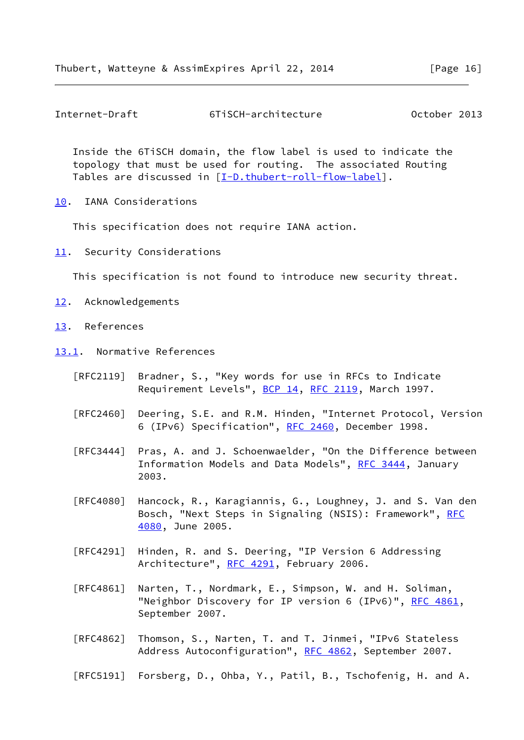<span id="page-19-1"></span>Internet-Draft 6TiSCH-architecture October 2013

 Inside the 6TiSCH domain, the flow label is used to indicate the topology that must be used for routing. The associated Routing Tables are discussed in [\[I-D.thubert-roll-flow-label](#page-21-3)].

<span id="page-19-0"></span>[10.](#page-19-0) IANA Considerations

This specification does not require IANA action.

<span id="page-19-2"></span>[11.](#page-19-2) Security Considerations

This specification is not found to introduce new security threat.

- <span id="page-19-3"></span>[12.](#page-19-3) Acknowledgements
- <span id="page-19-4"></span>[13.](#page-19-4) References
- <span id="page-19-5"></span>[13.1](#page-19-5). Normative References
	- [RFC2119] Bradner, S., "Key words for use in RFCs to Indicate Requirement Levels", [BCP 14](https://datatracker.ietf.org/doc/pdf/bcp14), [RFC 2119](https://datatracker.ietf.org/doc/pdf/rfc2119), March 1997.
	- [RFC2460] Deering, S.E. and R.M. Hinden, "Internet Protocol, Version 6 (IPv6) Specification", [RFC 2460,](https://datatracker.ietf.org/doc/pdf/rfc2460) December 1998.
	- [RFC3444] Pras, A. and J. Schoenwaelder, "On the Difference between Information Models and Data Models", [RFC 3444](https://datatracker.ietf.org/doc/pdf/rfc3444), January 2003.
	- [RFC4080] Hancock, R., Karagiannis, G., Loughney, J. and S. Van den Bosch, "Next Steps in Signaling (NSIS): Framework", [RFC](https://datatracker.ietf.org/doc/pdf/rfc4080) [4080,](https://datatracker.ietf.org/doc/pdf/rfc4080) June 2005.
	- [RFC4291] Hinden, R. and S. Deering, "IP Version 6 Addressing Architecture", [RFC 4291](https://datatracker.ietf.org/doc/pdf/rfc4291), February 2006.
	- [RFC4861] Narten, T., Nordmark, E., Simpson, W. and H. Soliman, "Neighbor Discovery for IP version 6 (IPv6)", [RFC 4861](https://datatracker.ietf.org/doc/pdf/rfc4861), September 2007.
	- [RFC4862] Thomson, S., Narten, T. and T. Jinmei, "IPv6 Stateless Address Autoconfiguration", [RFC 4862,](https://datatracker.ietf.org/doc/pdf/rfc4862) September 2007.
	- [RFC5191] Forsberg, D., Ohba, Y., Patil, B., Tschofenig, H. and A.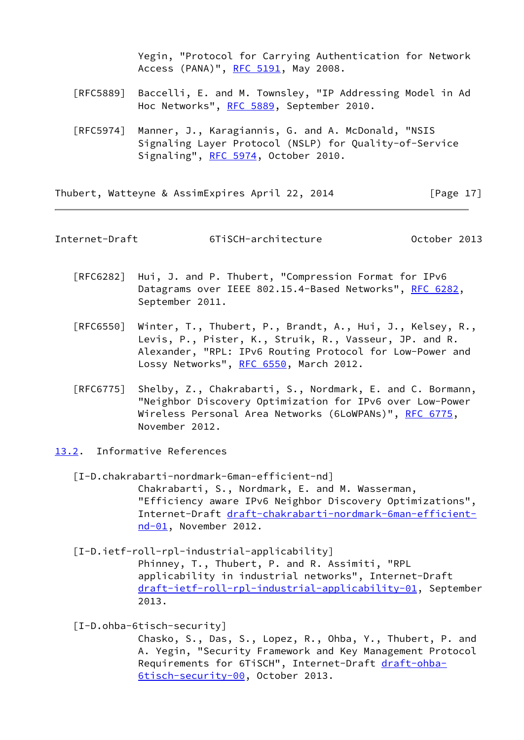Yegin, "Protocol for Carrying Authentication for Network Access (PANA)", [RFC 5191,](https://datatracker.ietf.org/doc/pdf/rfc5191) May 2008.

- [RFC5889] Baccelli, E. and M. Townsley, "IP Addressing Model in Ad Hoc Networks", [RFC 5889](https://datatracker.ietf.org/doc/pdf/rfc5889), September 2010.
- [RFC5974] Manner, J., Karagiannis, G. and A. McDonald, "NSIS Signaling Layer Protocol (NSLP) for Quality-of-Service Signaling", [RFC 5974,](https://datatracker.ietf.org/doc/pdf/rfc5974) October 2010.

Thubert, Watteyne & AssimExpires April 22, 2014 [Page 17]

<span id="page-20-1"></span>Internet-Draft 6TiSCH-architecture October 2013

- [RFC6282] Hui, J. and P. Thubert, "Compression Format for IPv6 Datagrams over IEEE 802.15.4-Based Networks", [RFC 6282](https://datatracker.ietf.org/doc/pdf/rfc6282), September 2011.
- [RFC6550] Winter, T., Thubert, P., Brandt, A., Hui, J., Kelsey, R., Levis, P., Pister, K., Struik, R., Vasseur, JP. and R. Alexander, "RPL: IPv6 Routing Protocol for Low-Power and Lossy Networks", [RFC 6550,](https://datatracker.ietf.org/doc/pdf/rfc6550) March 2012.
- [RFC6775] Shelby, Z., Chakrabarti, S., Nordmark, E. and C. Bormann, "Neighbor Discovery Optimization for IPv6 over Low-Power Wireless Personal Area Networks (6LoWPANs)", [RFC 6775](https://datatracker.ietf.org/doc/pdf/rfc6775), November 2012.
- <span id="page-20-2"></span><span id="page-20-0"></span>[13.2](#page-20-0). Informative References
	- [I-D.chakrabarti-nordmark-6man-efficient-nd] Chakrabarti, S., Nordmark, E. and M. Wasserman, "Efficiency aware IPv6 Neighbor Discovery Optimizations", Internet-Draft [draft-chakrabarti-nordmark-6man-efficient](https://datatracker.ietf.org/doc/pdf/draft-chakrabarti-nordmark-6man-efficient-nd-01) [nd-01,](https://datatracker.ietf.org/doc/pdf/draft-chakrabarti-nordmark-6man-efficient-nd-01) November 2012.

 [I-D.ietf-roll-rpl-industrial-applicability] Phinney, T., Thubert, P. and R. Assimiti, "RPL applicability in industrial networks", Internet-Draft [draft-ietf-roll-rpl-industrial-applicability-01](https://datatracker.ietf.org/doc/pdf/draft-ietf-roll-rpl-industrial-applicability-01), September 2013.

[I-D.ohba-6tisch-security]

 Chasko, S., Das, S., Lopez, R., Ohba, Y., Thubert, P. and A. Yegin, "Security Framework and Key Management Protocol Requirements for 6TiSCH", Internet-Draft [draft-ohba-](https://datatracker.ietf.org/doc/pdf/draft-ohba-6tisch-security-00)[6tisch-security-00,](https://datatracker.ietf.org/doc/pdf/draft-ohba-6tisch-security-00) October 2013.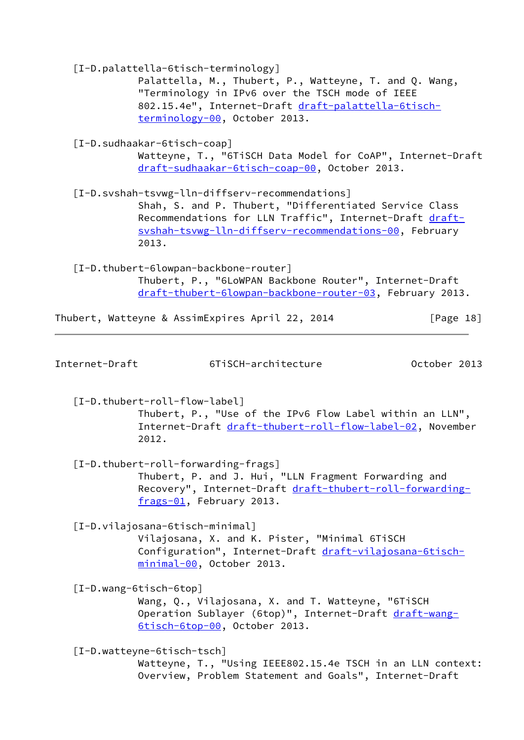<span id="page-21-3"></span><span id="page-21-2"></span><span id="page-21-1"></span><span id="page-21-0"></span>

|                | [I-D.palattella-6tisch-terminology]<br>Palattella, M., Thubert, P., Watteyne, T. and Q. Wang,<br>"Terminology in IPv6 over the TSCH mode of IEEE<br>802.15.4e", Internet-Draft draft-palattella-6tisch-<br>terminology-00, October 2013. |              |
|----------------|------------------------------------------------------------------------------------------------------------------------------------------------------------------------------------------------------------------------------------------|--------------|
|                | [I-D.sudhaakar-6tisch-coap]<br>Watteyne, T., "6TiSCH Data Model for CoAP", Internet-Draft<br>draft-sudhaakar-6tisch-coap-00, October 2013.                                                                                               |              |
|                | [I-D.svshah-tsvwg-lln-diffserv-recommendations]<br>Shah, S. and P. Thubert, "Differentiated Service Class<br>Recommendations for LLN Traffic", Internet-Draft draft-<br>svshah-tsvwg-lln-diffserv-recommendations-00, February<br>2013.  |              |
|                | [I-D.thubert-6lowpan-backbone-router]<br>Thubert, P., "6LoWPAN Backbone Router", Internet-Draft<br>draft-thubert-6lowpan-backbone-router-03, February 2013.                                                                              |              |
|                | Thubert, Watteyne & AssimExpires April 22, 2014                                                                                                                                                                                          | [Page $18$ ] |
| Internet-Draft | 6TiSCH-architecture                                                                                                                                                                                                                      | October 2013 |
|                | [I-D.thubert-roll-flow-label]<br>Thubert, P., "Use of the IPv6 Flow Label within an LLN",<br>Internet-Draft draft-thubert-roll-flow-label-02, November<br>2012.                                                                          |              |
|                | [I-D.thubert-roll-forwarding-frags]<br>Thubert, P. and J. Hui, "LLN Fragment Forwarding and<br>Recovery", Internet-Draft draft-thubert-roll-forwarding-<br>frags-01, February 2013.                                                      |              |
|                | [I-D.vilajosana-6tisch-minimal]<br>Vilajosana, X. and K. Pister, "Minimal 6TiSCH<br>Configuration", Internet-Draft draft-vilajosana-6tisch-<br>minimal-00, October 2013.                                                                 |              |
|                | [I-D.wang-6tisch-6top]<br>Wang, Q., Vilajosana, X. and T. Watteyne, "6TiSCH<br>Operation Sublayer (6top)", Internet-Draft draft-wang-<br>6tisch-6top-00, October 2013.                                                                   |              |
|                | [I-D.watteyne-6tisch-tsch]<br>Watteyne, T., "Using IEEE802.15.4e TSCH in an LLN context:<br>Overview, Problem Statement and Goals", Internet-Draft                                                                                       |              |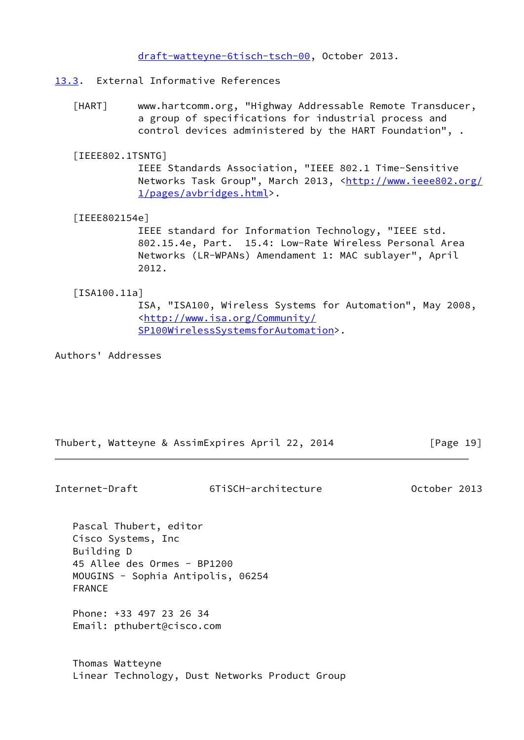[draft-watteyne-6tisch-tsch-00,](https://datatracker.ietf.org/doc/pdf/draft-watteyne-6tisch-tsch-00) October 2013.

- <span id="page-22-3"></span><span id="page-22-0"></span>[13.3](#page-22-0). External Informative References
	- [HART] www.hartcomm.org, "Highway Addressable Remote Transducer, a group of specifications for industrial process and control devices administered by the HART Foundation", .
	- [IEEE802.1TSNTG]

 IEEE Standards Association, "IEEE 802.1 Time-Sensitive Networks Task Group", March 2013, [<http://www.ieee802.org/](http://www.ieee802.org/1/pages/avbridges.html) [1/pages/avbridges.html](http://www.ieee802.org/1/pages/avbridges.html)>.

<span id="page-22-1"></span>[IEEE802154e]

 IEEE standard for Information Technology, "IEEE std. 802.15.4e, Part. 15.4: Low-Rate Wireless Personal Area Networks (LR-WPANs) Amendament 1: MAC sublayer", April 2012.

<span id="page-22-2"></span>[ISA100.11a]

 ISA, "ISA100, Wireless Systems for Automation", May 2008, <[http://www.isa.org/Community/](http://www.isa.org/Community/SP100WirelessSystemsforAutomation) [SP100WirelessSystemsforAutomation>](http://www.isa.org/Community/SP100WirelessSystemsforAutomation).

Authors' Addresses

Thubert, Watteyne & AssimExpires April 22, 2014 [Page 19]

Internet-Draft 6TiSCH-architecture October 2013

 Pascal Thubert, editor Cisco Systems, Inc Building D 45 Allee des Ormes - BP1200 MOUGINS - Sophia Antipolis, 06254 FRANCE

 Phone: +33 497 23 26 34 Email: pthubert@cisco.com

 Thomas Watteyne Linear Technology, Dust Networks Product Group